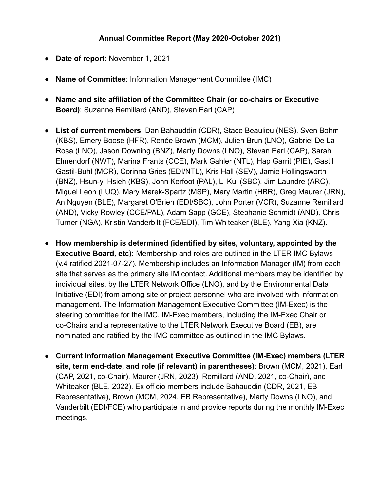## **Annual Committee Report (May 2020-October 2021)**

- **Date of report**: November 1, 2021
- **Name of Committee**: Information Management Committee (IMC)
- **Name and site affiliation of the Committee Chair (or co-chairs or Executive Board)**: Suzanne Remillard (AND), Stevan Earl (CAP)
- **List of current members**: Dan Bahauddin (CDR), Stace Beaulieu (NES), Sven Bohm (KBS), Emery Boose (HFR), Renée Brown (MCM), Julien Brun (LNO), Gabriel De La Rosa (LNO), Jason Downing (BNZ), Marty Downs (LNO), Stevan Earl (CAP), Sarah Elmendorf (NWT), Marina Frants (CCE), Mark Gahler (NTL), Hap Garrit (PIE), Gastil Gastil-Buhl (MCR), Corinna Gries (EDI/NTL), Kris Hall (SEV), Jamie Hollingsworth (BNZ), Hsun-yi Hsieh (KBS), John Kerfoot (PAL), Li Kui (SBC), Jim Laundre (ARC), Miguel Leon (LUQ), Mary Marek-Spartz (MSP), Mary Martin (HBR), Greg Maurer (JRN), An Nguyen (BLE), Margaret O'Brien (EDI/SBC), John Porter (VCR), Suzanne Remillard (AND), Vicky Rowley (CCE/PAL), Adam Sapp (GCE), Stephanie Schmidt (AND), Chris Turner (NGA), Kristin Vanderbilt (FCE/EDI), Tim Whiteaker (BLE), Yang Xia (KNZ).
- **● How membership is determined (identified by sites, voluntary, appointed by the Executive Board, etc):** Membership and roles are outlined in the LTER IMC Bylaws (v.4 ratified 2021-07-27). Membership includes an Information Manager (IM) from each site that serves as the primary site IM contact. Additional members may be identified by individual sites, by the LTER Network Office (LNO), and by the Environmental Data Initiative (EDI) from among site or project personnel who are involved with information management. The Information Management Executive Committee (IM-Exec) is the steering committee for the IMC. IM-Exec members, including the IM-Exec Chair or co-Chairs and a representative to the LTER Network Executive Board (EB), are nominated and ratified by the IMC committee as outlined in the IMC Bylaws.
- **Current Information Management Executive Committee (IM-Exec) members (LTER site, term end-date, and role (if relevant) in parentheses)**: Brown (MCM, 2021), Earl (CAP, 2021, co-Chair), Maurer (JRN, 2023), Remillard (AND, 2021, co-Chair), and Whiteaker (BLE, 2022). Ex officio members include Bahauddin (CDR, 2021, EB Representative), Brown (MCM, 2024, EB Representative), Marty Downs (LNO), and Vanderbilt (EDI/FCE) who participate in and provide reports during the monthly IM-Exec meetings.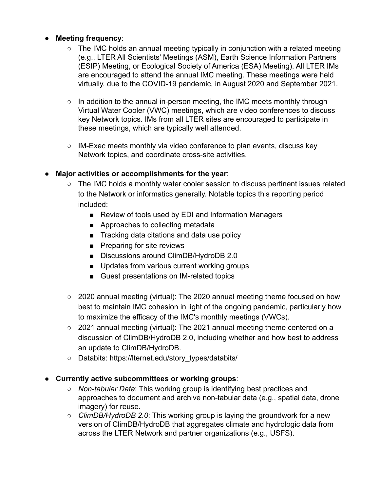### ● **Meeting frequency**:

- The IMC holds an annual meeting typically in conjunction with a related meeting (e.g., LTER All Scientists' Meetings (ASM), Earth Science Information Partners (ESIP) Meeting, or Ecological Society of America (ESA) Meeting). All LTER IMs are encouraged to attend the annual IMC meeting. These meetings were held virtually, due to the COVID-19 pandemic, in August 2020 and September 2021.
- In addition to the annual in-person meeting, the IMC meets monthly through Virtual Water Cooler (VWC) meetings, which are video conferences to discuss key Network topics. IMs from all LTER sites are encouraged to participate in these meetings, which are typically well attended.
- IM-Exec meets monthly via video conference to plan events, discuss key Network topics, and coordinate cross-site activities.

#### ● **Major activities or accomplishments for the year**:

- The IMC holds a monthly water cooler session to discuss pertinent issues related to the Network or informatics generally. Notable topics this reporting period included:
	- Review of tools used by EDI and Information Managers
	- Approaches to collecting metadata
	- Tracking data citations and data use policy
	- Preparing for site reviews
	- Discussions around ClimDB/HydroDB 2.0
	- Updates from various current working groups
	- Guest presentations on IM-related topics
- 2020 annual meeting (virtual): The 2020 annual meeting theme focused on how best to maintain IMC cohesion in light of the ongoing pandemic, particularly how to maximize the efficacy of the IMC's monthly meetings (VWCs).
- 2021 annual meeting (virtual): The 2021 annual meeting theme centered on a discussion of ClimDB/HydroDB 2.0, including whether and how best to address an update to ClimDB/HydroDB.
- Databits: https://lternet.edu/story\_types/databits/
- **Currently active subcommittees or working groups**:
	- *Non-tabular Data*: This working group is identifying best practices and approaches to document and archive non-tabular data (e.g., spatial data, drone imagery) for reuse.
	- *ClimDB/HydroDB 2.0*: This working group is laying the groundwork for a new version of ClimDB/HydroDB that aggregates climate and hydrologic data from across the LTER Network and partner organizations (e.g., USFS).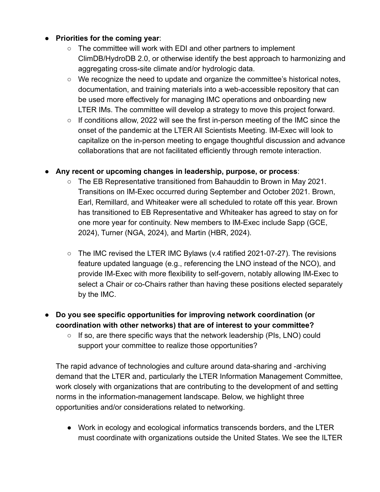### ● **Priorities for the coming year**:

- The committee will work with EDI and other partners to implement ClimDB/HydroDB 2.0, or otherwise identify the best approach to harmonizing and aggregating cross-site climate and/or hydrologic data.
- We recognize the need to update and organize the committee's historical notes, documentation, and training materials into a web-accessible repository that can be used more effectively for managing IMC operations and onboarding new LTER IMs. The committee will develop a strategy to move this project forward.
- If conditions allow, 2022 will see the first in-person meeting of the IMC since the onset of the pandemic at the LTER All Scientists Meeting. IM-Exec will look to capitalize on the in-person meeting to engage thoughtful discussion and advance collaborations that are not facilitated efficiently through remote interaction.

# ● **Any recent or upcoming changes in leadership, purpose, or process**:

- The EB Representative transitioned from Bahauddin to Brown in May 2021. Transitions on IM-Exec occurred during September and October 2021. Brown, Earl, Remillard, and Whiteaker were all scheduled to rotate off this year. Brown has transitioned to EB Representative and Whiteaker has agreed to stay on for one more year for continuity. New members to IM-Exec include Sapp (GCE, 2024), Turner (NGA, 2024), and Martin (HBR, 2024).
- The IMC revised the LTER IMC Bylaws (v.4 ratified 2021-07-27). The revisions feature updated language (e.g., referencing the LNO instead of the NCO), and provide IM-Exec with more flexibility to self-govern, notably allowing IM-Exec to select a Chair or co-Chairs rather than having these positions elected separately by the IMC.

# ● **Do you see specific opportunities for improving network coordination (or coordination with other networks) that are of interest to your committee?**

○ If so, are there specific ways that the network leadership (PIs, LNO) could support your committee to realize those opportunities?

The rapid advance of technologies and culture around data-sharing and -archiving demand that the LTER and, particularly the LTER Information Management Committee, work closely with organizations that are contributing to the development of and setting norms in the information-management landscape. Below, we highlight three opportunities and/or considerations related to networking.

● Work in ecology and ecological informatics transcends borders, and the LTER must coordinate with organizations outside the United States. We see the ILTER